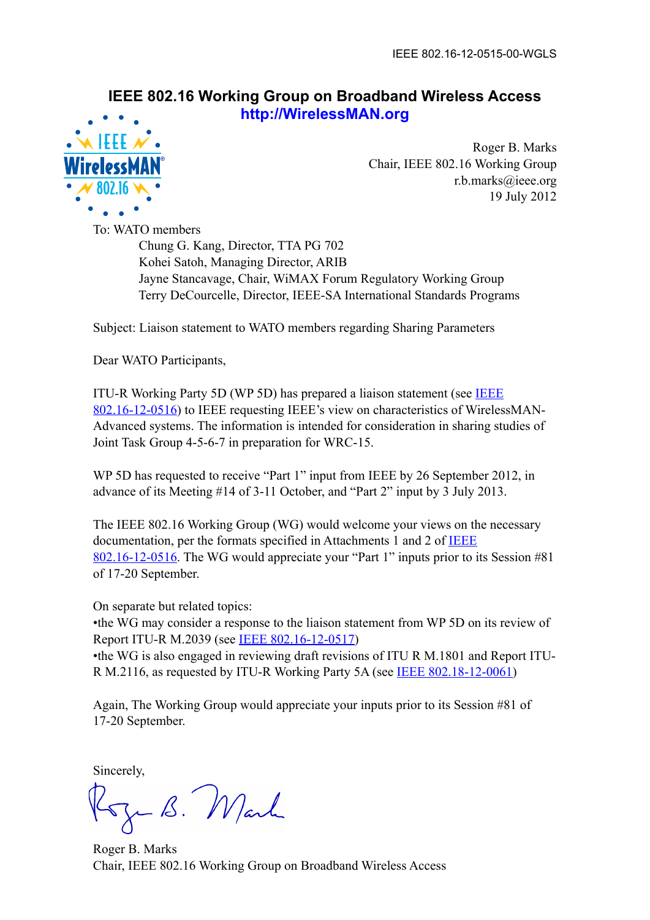## **IEEE 802.16 Working Group on Broadband Wireless Access http://WirelessMAN.org**



Roger B. Marks Chair, IEEE 802.16 Working Group r.b.marks@ieee.org 19 July 2012

To: WATO members Chung G. Kang, Director, TTA PG 702 Kohei Satoh, Managing Director, ARIB Jayne Stancavage, Chair, WiMAX Forum Regulatory Working Group Terry DeCourcelle, Director, IEEE-SA International Standards Programs

Subject: Liaison statement to WATO members regarding Sharing Parameters

Dear WATO Participants,

ITU-R Working Party 5D (WP 5D) has prepared a liaison statement (see [IEEE](https://mentor.ieee.org/802.16/dcn/12/16-12-0516)  [802.16-12-0516](https://mentor.ieee.org/802.16/dcn/12/16-12-0516)) to IEEE requesting IEEE's view on characteristics of WirelessMAN-Advanced systems. The information is intended for consideration in sharing studies of Joint Task Group 4-5-6-7 in preparation for WRC-15.

WP 5D has requested to receive "Part 1" input from IEEE by 26 September 2012, in advance of its Meeting #14 of 3-11 October, and "Part 2" input by 3 July 2013.

The IEEE 802.16 Working Group (WG) would welcome your views on the necessary documentation, per the formats specified in Attachments 1 and 2 of **IEEE** [802.16-12-0516](https://mentor.ieee.org/802.16/dcn/12/16-12-0516). The WG would appreciate your "Part 1" inputs prior to its Session #81 of 17-20 September.

On separate but related topics:

•the WG may consider a response to the liaison statement from WP 5D on its review of Report ITU-R M.2039 (see [IEEE 802.16-12-0517\)](https://mentor.ieee.org/802.16/dcn/12/16-12-0517)

•the WG is also engaged in reviewing draft revisions of ITU R M.1801 and Report ITU-R M.2116, as requested by ITU-R Working Party 5A (see **IEEE 802.18-12-0061**)

Again, The Working Group would appreciate your inputs prior to its Session #81 of 17-20 September.

Sincerely,

Rozen B. Mark

Roger B. Marks Chair, IEEE 802.16 Working Group on Broadband Wireless Access